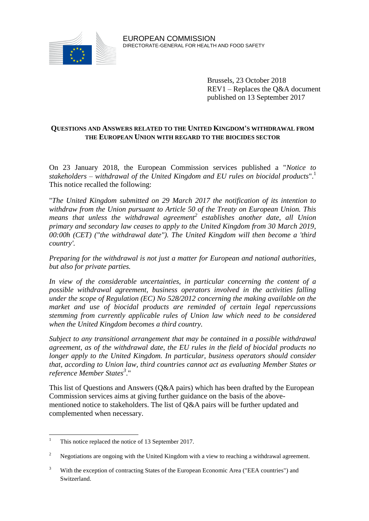

Brussels, 23 October 2018 REV1 – Replaces the Q&A document published on 13 September 2017

## **QUESTIONS AND ANSWERS RELATED TO THE UNITED KINGDOM'S WITHDRAWAL FROM THE EUROPEAN UNION WITH REGARD TO THE BIOCIDES SECTOR**

On 23 January 2018, the European Commission services published a "*Notice to stakeholders – withdrawal of the United Kingdom and EU rules on biocidal products*".<sup>1</sup> This notice recalled the following:

"*The United Kingdom submitted on 29 March 2017 the notification of its intention to withdraw from the Union pursuant to Article 50 of the Treaty on European Union. This means that unless the withdrawal agreement<sup>2</sup> establishes another date, all Union primary and secondary law ceases to apply to the United Kingdom from 30 March 2019, 00:00h (CET) ("the withdrawal date"). The United Kingdom will then become a 'third country'.*

*Preparing for the withdrawal is not just a matter for European and national authorities, but also for private parties.*

*In view of the considerable uncertainties, in particular concerning the content of a possible withdrawal agreement, business operators involved in the activities falling under the scope of Regulation (EC) No 528/2012 concerning the making available on the market and use of biocidal products are reminded of certain legal repercussions stemming from currently applicable rules of Union law which need to be considered when the United Kingdom becomes a third country.*

*Subject to any transitional arrangement that may be contained in a possible withdrawal agreement, as of the withdrawal date, the EU rules in the field of biocidal products no longer apply to the United Kingdom. In particular, business operators should consider that, according to Union law, third countries cannot act as evaluating Member States or reference Member States<sup>3</sup>* ."

This list of Questions and Answers (Q&A pairs) which has been drafted by the European Commission services aims at giving further guidance on the basis of the abovementioned notice to stakeholders. The list of Q&A pairs will be further updated and complemented when necessary.

 $\mathbf{1}$ This notice replaced the notice of 13 September 2017.

<sup>2</sup> Negotiations are ongoing with the United Kingdom with a view to reaching a withdrawal agreement.

<sup>3</sup> With the exception of contracting States of the European Economic Area ("EEA countries") and Switzerland.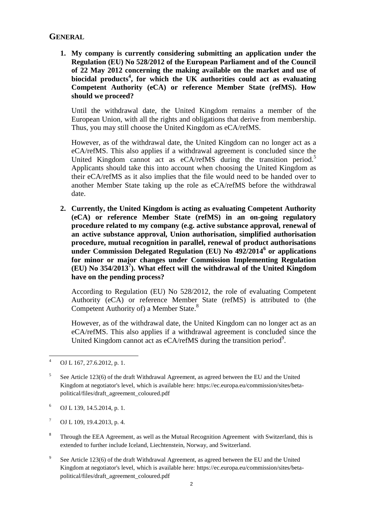# **GENERAL**

**1. My company is currently considering submitting an application under the Regulation (EU) No 528/2012 of the European Parliament and of the Council of 22 May 2012 concerning the making available on the market and use of biocidal products<sup>4</sup> , for which the UK authorities could act as evaluating Competent Authority (eCA) or reference Member State (refMS). How should we proceed?**

Until the withdrawal date, the United Kingdom remains a member of the European Union, with all the rights and obligations that derive from membership. Thus, you may still choose the United Kingdom as eCA/refMS.

However, as of the withdrawal date, the United Kingdom can no longer act as a eCA/refMS. This also applies if a withdrawal agreement is concluded since the United Kingdom cannot act as eCA/refMS during the transition period.<sup>5</sup> Applicants should take this into account when choosing the United Kingdom as their eCA/refMS as it also implies that the file would need to be handed over to another Member State taking up the role as eCA/refMS before the withdrawal date.

**2. Currently, the United Kingdom is acting as evaluating Competent Authority (eCA) or reference Member State (refMS) in an on-going regulatory procedure related to my company (e.g. active substance approval, renewal of an active substance approval, Union authorisation, simplified authorisation procedure, mutual recognition in parallel, renewal of product authorisations under Commission Delegated Regulation (EU) No 492/2014<sup>6</sup> or applications for minor or major changes under Commission Implementing Regulation (EU) No 354/2013<sup>7</sup> ). What effect will the withdrawal of the United Kingdom have on the pending process?**

According to Regulation (EU) No 528/2012, the role of evaluating Competent Authority (eCA) or reference Member State (refMS) is attributed to (the Competent Authority of) a Member State.<sup>8</sup>

However, as of the withdrawal date, the United Kingdom can no longer act as an eCA/refMS. This also applies if a withdrawal agreement is concluded since the United Kingdom cannot act as  $eCA$ /refMS during the transition period<sup>9</sup>.

<sup>6</sup> OJ L 139, 14.5.2014, p. 1.

 $7$  OJ L 109, 19.4.2013, p. 4.

- 8 Through the EEA Agreement, as well as the Mutual Recognition Agreement with Switzerland, this is extended to further include Iceland, Liechtenstein, Norway, and Switzerland.
- 9 See Article 123(6) of the draft Withdrawal Agreement, as agreed between the EU and the United Kingdom at negotiator's level, which is available here: [https://ec.europa.eu/commission/sites/beta](https://ec.europa.eu/commission/sites/beta-political/files/draft_agreement_coloured.pdf)[political/files/draft\\_agreement\\_coloured.pdf](https://ec.europa.eu/commission/sites/beta-political/files/draft_agreement_coloured.pdf)

 $\overline{4}$ OJ L 167, 27.6.2012, p. 1.

<sup>5</sup> See Article 123(6) of the draft Withdrawal Agreement, as agreed between the EU and the United Kingdom at negotiator's level, which is available here: [https://ec.europa.eu/commission/sites/beta](https://ec.europa.eu/commission/sites/beta-political/files/draft_agreement_coloured.pdf)[political/files/draft\\_agreement\\_coloured.pdf](https://ec.europa.eu/commission/sites/beta-political/files/draft_agreement_coloured.pdf)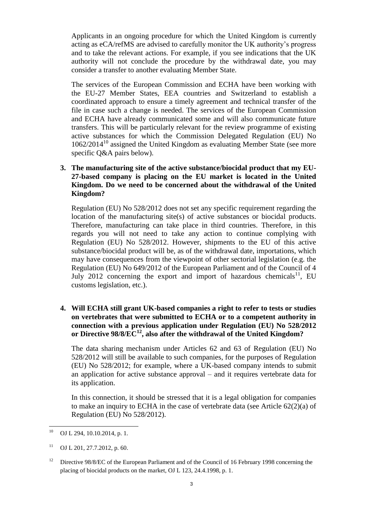Applicants in an ongoing procedure for which the United Kingdom is currently acting as eCA/refMS are advised to carefully monitor the UK authority's progress and to take the relevant actions. For example, if you see indications that the UK authority will not conclude the procedure by the withdrawal date, you may consider a transfer to another evaluating Member State.

The services of the European Commission and ECHA have been working with the EU-27 Member States, EEA countries and Switzerland to establish a coordinated approach to ensure a timely agreement and technical transfer of the file in case such a change is needed. The services of the European Commission and ECHA have already communicated some and will also communicate future transfers. This will be particularly relevant for the review programme of existing active substances for which the Commission Delegated Regulation (EU) No  $1062/2014^{10}$  assigned the United Kingdom as evaluating Member State (see more specific Q&A pairs below).

# **3. The manufacturing site of the active substance/biocidal product that my EU-27-based company is placing on the EU market is located in the United Kingdom. Do we need to be concerned about the withdrawal of the United Kingdom?**

Regulation (EU) No 528/2012 does not set any specific requirement regarding the location of the manufacturing site(s) of active substances or biocidal products. Therefore, manufacturing can take place in third countries. Therefore, in this regards you will not need to take any action to continue complying with Regulation (EU) No 528/2012. However, shipments to the EU of this active substance/biocidal product will be, as of the withdrawal date, importations, which may have consequences from the viewpoint of other sectorial legislation (e.g. the Regulation (EU) No 649/2012 of the European Parliament and of the Council of 4 July 2012 concerning the export and import of hazardous chemicals<sup>11</sup>, EU customs legislation, etc.).

# **4. Will ECHA still grant UK-based companies a right to refer to tests or studies on vertebrates that were submitted to ECHA or to a competent authority in connection with a previous application under Regulation (EU) No 528/2012 or Directive 98/8/EC<sup>12</sup>, also after the withdrawal of the United Kingdom?**

The data sharing mechanism under Articles 62 and 63 of Regulation (EU) No 528/2012 will still be available to such companies, for the purposes of Regulation (EU) No 528/2012; for example, where a UK-based company intends to submit an application for active substance approval – and it requires vertebrate data for its application.

In this connection, it should be stressed that it is a legal obligation for companies to make an inquiry to ECHA in the case of vertebrate data (see Article 62(2)(a) of Regulation (EU) No 528/2012).

<sup>10</sup> <sup>10</sup> OJ L 294, 10.10.2014, p. 1.

 $11$  OJ L 201, 27.7.2012, p. 60.

<sup>&</sup>lt;sup>12</sup> Directive 98/8/EC of the European Parliament and of the Council of 16 February 1998 concerning the placing of biocidal products on the market, OJ L 123, 24.4.1998, p. 1.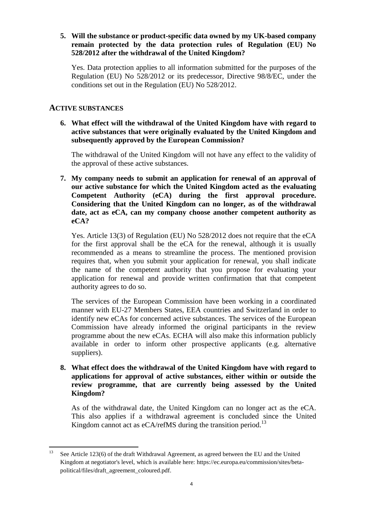# **5. Will the substance or product-specific data owned by my UK-based company remain protected by the data protection rules of Regulation (EU) No 528/2012 after the withdrawal of the United Kingdom?**

Yes. Data protection applies to all information submitted for the purposes of the Regulation (EU) No 528/2012 or its predecessor, Directive 98/8/EC, under the conditions set out in the Regulation (EU) No 528/2012.

# **ACTIVE SUBSTANCES**

**6. What effect will the withdrawal of the United Kingdom have with regard to active substances that were originally evaluated by the United Kingdom and subsequently approved by the European Commission?**

The withdrawal of the United Kingdom will not have any effect to the validity of the approval of these active substances.

**7. My company needs to submit an application for renewal of an approval of our active substance for which the United Kingdom acted as the evaluating Competent Authority (eCA) during the first approval procedure. Considering that the United Kingdom can no longer, as of the withdrawal date, act as eCA, can my company choose another competent authority as eCA?**

Yes. Article 13(3) of Regulation (EU) No 528/2012 does not require that the eCA for the first approval shall be the eCA for the renewal, although it is usually recommended as a means to streamline the process. The mentioned provision requires that, when you submit your application for renewal, you shall indicate the name of the competent authority that you propose for evaluating your application for renewal and provide written confirmation that that competent authority agrees to do so.

The services of the European Commission have been working in a coordinated manner with EU-27 Members States, EEA countries and Switzerland in order to identify new eCAs for concerned active substances. The services of the European Commission have already informed the original participants in the review programme about the new eCAs. ECHA will also make this information publicly available in order to inform other prospective applicants (e.g. alternative suppliers).

**8. What effect does the withdrawal of the United Kingdom have with regard to applications for approval of active substances, either within or outside the review programme, that are currently being assessed by the United Kingdom?**

As of the withdrawal date, the United Kingdom can no longer act as the eCA. This also applies if a withdrawal agreement is concluded since the United Kingdom cannot act as eCA/refMS during the transition period.<sup>13</sup>

<sup>13</sup> <sup>13</sup> See Article 123(6) of the draft Withdrawal Agreement, as agreed between the EU and the United Kingdom at negotiator's level, which is available here: [https://ec.europa.eu/commission/sites/beta](https://ec.europa.eu/commission/sites/beta-political/files/draft_agreement_coloured.pdf)[political/files/draft\\_agreement\\_coloured.pdf.](https://ec.europa.eu/commission/sites/beta-political/files/draft_agreement_coloured.pdf)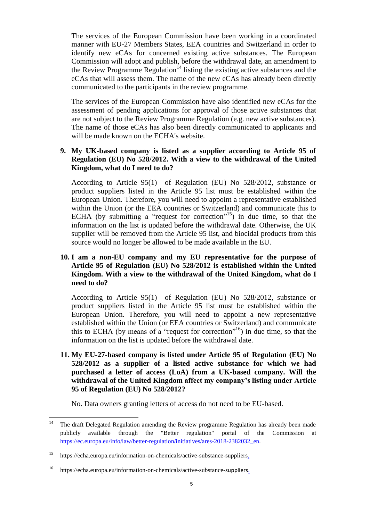The services of the European Commission have been working in a coordinated manner with EU-27 Members States, EEA countries and Switzerland in order to identify new eCAs for concerned existing active substances. The European Commission will adopt and publish, before the withdrawal date, an amendment to the Review Programme Regulation<sup>14</sup> listing the existing active substances and the eCAs that will assess them. The name of the new eCAs has already been directly communicated to the participants in the review programme.

The services of the European Commission have also identified new eCAs for the assessment of pending applications for approval of those active substances that are not subject to the Review Programme Regulation (e.g. new active substances). The name of those eCAs has also been directly communicated to applicants and will be made known on the ECHA's website.

# **9. My UK-based company is listed as a supplier according to Article 95 of Regulation (EU) No 528/2012. With a view to the withdrawal of the United Kingdom, what do I need to do?**

According to Article 95(1) of Regulation (EU) No 528/2012, substance or product suppliers listed in the Article 95 list must be established within the European Union. Therefore, you will need to appoint a representative established within the Union (or the EEA countries or Switzerland) and communicate this to ECHA (by submitting a ["request for correction"](https://comments.echa.europa.eu/comments_cms/Article95Corrections.aspx)<sup>15</sup>) in due time, so that the information on the list is updated before the withdrawal date. Otherwise, the UK supplier will be removed from the Article 95 list, and biocidal products from this source would no longer be allowed to be made available in the EU.

# **10. I am a non-EU company and my EU representative for the purpose of Article 95 of Regulation (EU) No 528/2012 is established within the United Kingdom. With a view to the withdrawal of the United Kingdom, what do I need to do?**

According to Article 95(1) of Regulation (EU) No 528/2012, substance or product suppliers listed in the Article 95 list must be established within the European Union. Therefore, you will need to appoint a new representative established within the Union (or EEA countries or Switzerland) and communicate this to ECHA (by means of a ["request for correction"](https://comments.echa.europa.eu/comments_cms/Article95Corrections.aspx)<sup>16</sup>) in due time, so that the information on the list is updated before the withdrawal date.

**11. My EU-27-based company is listed under Article 95 of Regulation (EU) No 528/2012 as a supplier of a listed active substance for which we had purchased a letter of access (LoA) from a UK-based company. Will the withdrawal of the United Kingdom affect my company's listing under Article 95 of Regulation (EU) No 528/2012?**

No. Data owners granting letters of access do not need to be EU-based.

 $14$ The draft Delegated Regulation amending the Review programme Regulation has already been made publicly available through the "Better regulation" portal of the Commission at [https://ec.europa.eu/info/law/better-regulation/initiatives/ares-2018-2382032\\_en.](https://ec.europa.eu/info/law/better-regulation/initiatives/ares-2018-2382032_en)

<sup>15</sup> https://echa.europa.eu/information-on-chemicals/active-substance-suppliers.

<sup>16</sup> https://echa.europa.eu/information-on-chemicals/active-substance-suppliers.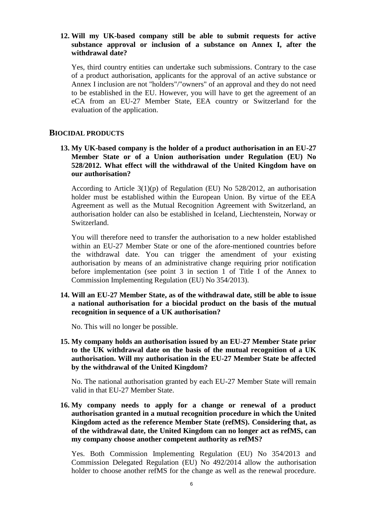#### **12. Will my UK-based company still be able to submit requests for active substance approval or inclusion of a substance on Annex I, after the withdrawal date?**

Yes, third country entities can undertake such submissions. Contrary to the case of a product authorisation, applicants for the approval of an active substance or Annex I inclusion are not "holders"/"owners" of an approval and they do not need to be established in the EU. However, you will have to get the agreement of an eCA from an EU-27 Member State, EEA country or Switzerland for the evaluation of the application.

### **BIOCIDAL PRODUCTS**

**13. My UK-based company is the holder of a product authorisation in an EU-27 Member State or of a Union authorisation under Regulation (EU) No 528/2012. What effect will the withdrawal of the United Kingdom have on our authorisation?**

According to Article 3(1)(p) of Regulation (EU) No 528/2012, an authorisation holder must be established within the European Union. By virtue of the EEA Agreement as well as the Mutual Recognition Agreement with Switzerland, an authorisation holder can also be established in Iceland, Liechtenstein, Norway or Switzerland.

You will therefore need to transfer the authorisation to a new holder established within an EU-27 Member State or one of the afore-mentioned countries before the withdrawal date. You can trigger the amendment of your existing authorisation by means of an administrative change requiring prior notification before implementation (see point 3 in section 1 of Title I of the Annex to Commission Implementing Regulation (EU) No 354/2013).

**14. Will an EU-27 Member State, as of the withdrawal date, still be able to issue a national authorisation for a biocidal product on the basis of the mutual recognition in sequence of a UK authorisation?**

No. This will no longer be possible.

**15. My company holds an authorisation issued by an EU-27 Member State prior to the UK withdrawal date on the basis of the mutual recognition of a UK authorisation. Will my authorisation in the EU-27 Member State be affected by the withdrawal of the United Kingdom?** 

No. The national authorisation granted by each EU-27 Member State will remain valid in that EU-27 Member State.

**16. My company needs to apply for a change or renewal of a product authorisation granted in a mutual recognition procedure in which the United Kingdom acted as the reference Member State (refMS). Considering that, as of the withdrawal date, the United Kingdom can no longer act as refMS, can my company choose another competent authority as refMS?**

Yes. Both Commission Implementing Regulation (EU) No 354/2013 and Commission Delegated Regulation (EU) No 492/2014 allow the authorisation holder to choose another refMS for the change as well as the renewal procedure.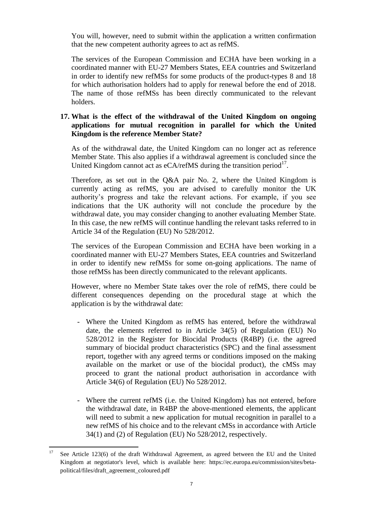You will, however, need to submit within the application a written confirmation that the new competent authority agrees to act as refMS.

The services of the European Commission and ECHA have been working in a coordinated manner with EU-27 Members States, EEA countries and Switzerland in order to identify new refMSs for some products of the product-types 8 and 18 for which authorisation holders had to apply for renewal before the end of 2018. The name of those refMSs has been directly communicated to the relevant holders.

## **17. What is the effect of the withdrawal of the United Kingdom on ongoing applications for mutual recognition in parallel for which the United Kingdom is the reference Member State?**

As of the withdrawal date, the United Kingdom can no longer act as reference Member State. This also applies if a withdrawal agreement is concluded since the United Kingdom cannot act as  $eCA$ /refMS during the transition period $17$ .

Therefore, as set out in the Q&A pair No. 2, where the United Kingdom is currently acting as refMS, you are advised to carefully monitor the UK authority's progress and take the relevant actions. For example, if you see indications that the UK authority will not conclude the procedure by the withdrawal date, you may consider changing to another evaluating Member State. In this case, the new refMS will continue handling the relevant tasks referred to in Article 34 of the Regulation (EU) No 528/2012.

The services of the European Commission and ECHA have been working in a coordinated manner with EU-27 Members States, EEA countries and Switzerland in order to identify new refMSs for some on-going applications. The name of those refMSs has been directly communicated to the relevant applicants.

However, where no Member State takes over the role of refMS, there could be different consequences depending on the procedural stage at which the application is by the withdrawal date:

- Where the United Kingdom as refMS has entered, before the withdrawal date, the elements referred to in Article 34(5) of Regulation (EU) No 528/2012 in the Register for Biocidal Products (R4BP) (i.e. the agreed summary of biocidal product characteristics (SPC) and the final assessment report, together with any agreed terms or conditions imposed on the making available on the market or use of the biocidal product), the cMSs may proceed to grant the national product authorisation in accordance with Article 34(6) of Regulation (EU) No 528/2012.
- Where the current refMS (i.e. the United Kingdom) has not entered, before the withdrawal date, in R4BP the above-mentioned elements, the applicant will need to submit a new application for mutual recognition in parallel to a new refMS of his choice and to the relevant cMSs in accordance with Article 34(1) and (2) of Regulation (EU) No 528/2012, respectively.

<sup>17</sup> <sup>17</sup> See Article 123(6) of the draft Withdrawal Agreement, as agreed between the EU and the United Kingdom at negotiator's level, which is available here: [https://ec.europa.eu/commission/sites/beta](https://ec.europa.eu/commission/sites/beta-political/files/draft_agreement_coloured.pdf)[political/files/draft\\_agreement\\_coloured.pdf](https://ec.europa.eu/commission/sites/beta-political/files/draft_agreement_coloured.pdf)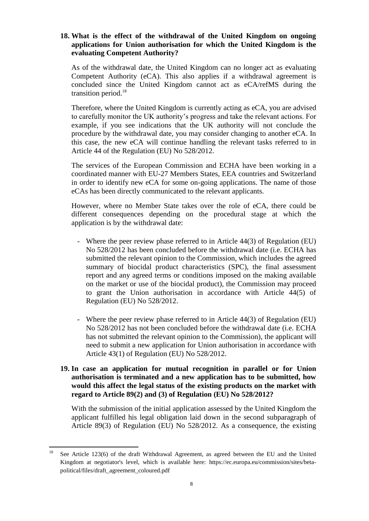## **18. What is the effect of the withdrawal of the United Kingdom on ongoing applications for Union authorisation for which the United Kingdom is the evaluating Competent Authority?**

As of the withdrawal date, the United Kingdom can no longer act as evaluating Competent Authority (eCA). This also applies if a withdrawal agreement is concluded since the United Kingdom cannot act as eCA/refMS during the transition period. 18

Therefore, where the United Kingdom is currently acting as eCA, you are advised to carefully monitor the UK authority's progress and take the relevant actions. For example, if you see indications that the UK authority will not conclude the procedure by the withdrawal date, you may consider changing to another eCA. In this case, the new eCA will continue handling the relevant tasks referred to in Article 44 of the Regulation (EU) No 528/2012.

The services of the European Commission and ECHA have been working in a coordinated manner with EU-27 Members States, EEA countries and Switzerland in order to identify new eCA for some on-going applications. The name of those eCAs has been directly communicated to the relevant applicants.

However, where no Member State takes over the role of eCA, there could be different consequences depending on the procedural stage at which the application is by the withdrawal date:

- Where the peer review phase referred to in Article 44(3) of Regulation (EU) No 528/2012 has been concluded before the withdrawal date (i.e. ECHA has submitted the relevant opinion to the Commission, which includes the agreed summary of biocidal product characteristics (SPC), the final assessment report and any agreed terms or conditions imposed on the making available on the market or use of the biocidal product), the Commission may proceed to grant the Union authorisation in accordance with Article 44(5) of Regulation (EU) No 528/2012.
- Where the peer review phase referred to in Article 44(3) of Regulation (EU) No 528/2012 has not been concluded before the withdrawal date (i.e. ECHA has not submitted the relevant opinion to the Commission), the applicant will need to submit a new application for Union authorisation in accordance with Article 43(1) of Regulation (EU) No 528/2012.
- **19. In case an application for mutual recognition in parallel or for Union authorisation is terminated and a new application has to be submitted, how would this affect the legal status of the existing products on the market with regard to Article 89(2) and (3) of Regulation (EU) No 528/2012?**

With the submission of the initial application assessed by the United Kingdom the applicant fulfilled his legal obligation laid down in the second subparagraph of Article 89(3) of Regulation (EU) No 528/2012. As a consequence, the existing

<sup>18</sup> <sup>18</sup> See Article 123(6) of the draft Withdrawal Agreement, as agreed between the EU and the United Kingdom at negotiator's level, which is available here: [https://ec.europa.eu/commission/sites/beta](https://ec.europa.eu/commission/sites/beta-political/files/draft_agreement_coloured.pdf)[political/files/draft\\_agreement\\_coloured.pdf](https://ec.europa.eu/commission/sites/beta-political/files/draft_agreement_coloured.pdf)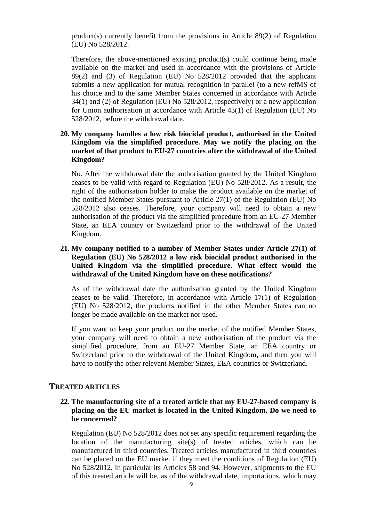product(s) currently benefit from the provisions in Article 89(2) of Regulation (EU) No 528/2012.

Therefore, the above-mentioned existing product(s) could continue being made available on the market and used in accordance with the provisions of Article 89(2) and (3) of Regulation (EU) No 528/2012 provided that the applicant submits a new application for mutual recognition in parallel (to a new refMS of his choice and to the same Member States concerned in accordance with Article 34(1) and (2) of Regulation (EU) No 528/2012, respectively) or a new application for Union authorisation in accordance with Article 43(1) of Regulation (EU) No 528/2012, before the withdrawal date.

### **20. My company handles a low risk biocidal product, authorised in the United Kingdom via the simplified procedure. May we notify the placing on the market of that product to EU-27 countries after the withdrawal of the United Kingdom?**

No. After the withdrawal date the authorisation granted by the United Kingdom ceases to be valid with regard to Regulation (EU) No 528/2012. As a result, the right of the authorisation holder to make the product available on the market of the notified Member States pursuant to Article 27(1) of the Regulation (EU) No 528/2012 also ceases. Therefore, your company will need to obtain a new authorisation of the product via the simplified procedure from an EU-27 Member State, an EEA country or Switzerland prior to the withdrawal of the United Kingdom.

# **21. My company notified to a number of Member States under Article 27(1) of Regulation (EU) No 528/2012 a low risk biocidal product authorised in the United Kingdom via the simplified procedure. What effect would the withdrawal of the United Kingdom have on these notifications?**

As of the withdrawal date the authorisation granted by the United Kingdom ceases to be valid. Therefore, in accordance with Article 17(1) of Regulation (EU) No 528/2012, the products notified in the other Member States can no longer be made available on the market nor used.

If you want to keep your product on the market of the notified Member States, your company will need to obtain a new authorisation of the product via the simplified procedure, from an EU-27 Member State, an EEA country or Switzerland prior to the withdrawal of the United Kingdom, and then you will have to notify the other relevant Member States, EEA countries or Switzerland.

## **TREATED ARTICLES**

#### **22. The manufacturing site of a treated article that my EU-27-based company is placing on the EU market is located in the United Kingdom. Do we need to be concerned?**

Regulation (EU) No 528/2012 does not set any specific requirement regarding the location of the manufacturing site(s) of treated articles, which can be manufactured in third countries. Treated articles manufactured in third countries can be placed on the EU market if they meet the conditions of Regulation (EU) No 528/2012, in particular its Articles 58 and 94. However, shipments to the EU of this treated article will be, as of the withdrawal date, importations, which may